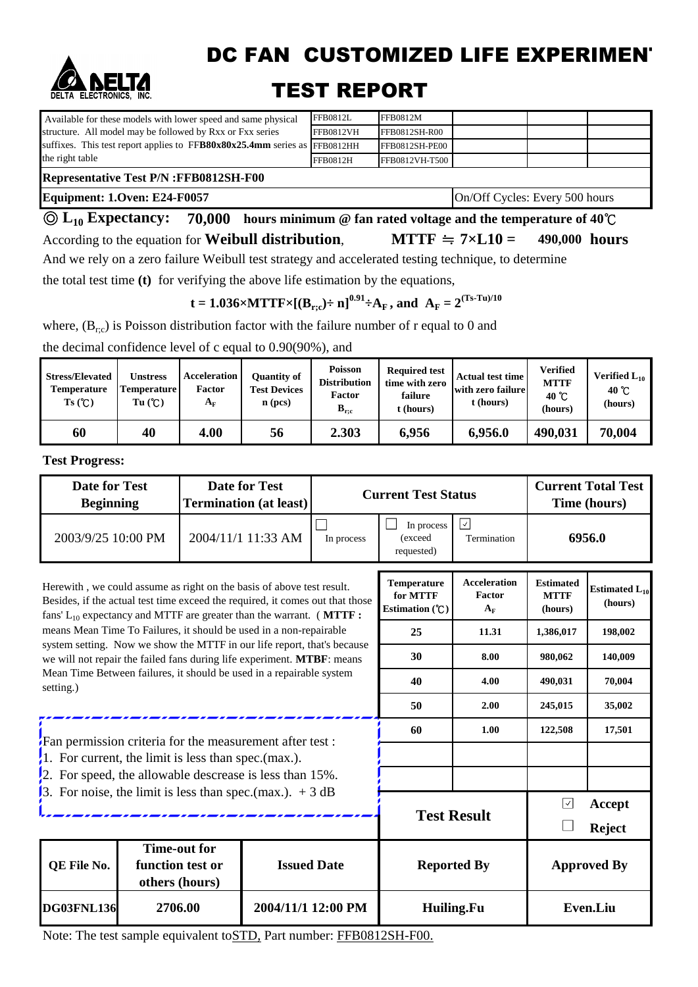

DC FAN CUSTOMIZED LIFE EXPERIMENT

## TEST REPORT

| Available for these models with lower speed and same physical               | <b>FFB0812L</b>  | FFB0812M       |  |  |  |  |  |  |  |
|-----------------------------------------------------------------------------|------------------|----------------|--|--|--|--|--|--|--|
| structure. All model may be followed by Rxx or Fxx series                   | <b>FFB0812VH</b> | FFB0812SH-R00  |  |  |  |  |  |  |  |
| suffixes. This test report applies to $FFB80x80x25.4mm$ series as FFB0812HH |                  | FFB0812SH-PE00 |  |  |  |  |  |  |  |
| the right table                                                             | FFB0812H         | FFB0812VH-T500 |  |  |  |  |  |  |  |
| <b>Representative Test P/N: FFB0812SH-F00</b>                               |                  |                |  |  |  |  |  |  |  |

**Equipment: 1.Oven: E24-F0057** On/Off Cycles: Every 500 hours

**70,000 hours minimum @ fan rated voltage and the temperature of 40**℃ ◎ **L10 Expectancy:** According to the equation for **Weibull distribution. MTTF**  $\cong$  **7×L10** = 490,000 **hours MTTF**  $\div$  7×**L10** =

And we rely on a zero failure Weibull test strategy and accelerated testing technique, to determine

the total test time **(t)** for verifying the above life estimation by the equations,

**t** = 1.036×MTTF×[ $(B_{r;c}) \div n$ ]<sup>0.91</sup> $\div A_F$ , and  $A_F = 2^{(Ts-Tu)/10}$ 

where,  $(B_{rc})$  is Poisson distribution factor with the failure number of r equal to 0 and

the decimal confidence level of c equal to 0.90(90%), and

| <b>Stress/Elevated</b><br><b>Temperature</b><br>Ts(C) | Unstress<br><b>Temperature</b><br>Tu(C) | <b>Acceleration</b><br>Factor<br>${\bf A_F}$ | <b>Poisson</b><br>Quantity of<br><b>Distribution</b><br><b>Test Devices</b><br><b>Factor</b><br>$\mathbf{n}$ (pcs)<br>$B_{r;c}$ |       | <b>Required test</b><br>time with zero<br>failure<br>t (hours) | <b>Actual test time</b><br>with zero failure<br>t (hours) | Verified<br><b>MTTF</b><br>$40^{\circ}$ C<br>(hours) | Verified $L_{10}$<br>40 $\degree$ C<br>(hours) |
|-------------------------------------------------------|-----------------------------------------|----------------------------------------------|---------------------------------------------------------------------------------------------------------------------------------|-------|----------------------------------------------------------------|-----------------------------------------------------------|------------------------------------------------------|------------------------------------------------|
| 60                                                    | 40                                      | 4.00                                         | 56                                                                                                                              | 2.303 | 6,956                                                          | 6,956.0                                                   | 490,031                                              | 70,004                                         |

**Test Progress:**

| <b>Date for Test</b><br><b>Date for Test</b><br><b>Beginning</b><br><b>Termination (at least)</b>                                                                                                                                 |                                    |                     |                    |            | <b>Current Test Status</b>                         |                                              | <b>Current Total Test</b><br>Time (hours)  |                                |
|-----------------------------------------------------------------------------------------------------------------------------------------------------------------------------------------------------------------------------------|------------------------------------|---------------------|--------------------|------------|----------------------------------------------------|----------------------------------------------|--------------------------------------------|--------------------------------|
| 2003/9/25 10:00 PM                                                                                                                                                                                                                |                                    |                     | 2004/11/1 11:33 AM | In process | In process<br>(exceed<br>requested)                | 6956.0                                       |                                            |                                |
| Herewith, we could assume as right on the basis of above test result.<br>Besides, if the actual test time exceed the required, it comes out that those<br>fans' $L_{10}$ expectancy and MTTF are greater than the warrant. (MTTF: |                                    |                     |                    |            | <b>Temperature</b><br>for MTTF<br>Estimation $(C)$ | <b>Acceleration</b><br>Factor<br>$A_{\rm F}$ | <b>Estimated</b><br><b>MTTF</b><br>(hours) | Estimated $L_{10}$<br>(hours)  |
| means Mean Time To Failures, it should be used in a non-repairable                                                                                                                                                                |                                    |                     |                    |            | 25                                                 | 11.31                                        | 1,386,017                                  | 198,002                        |
| system setting. Now we show the MTTF in our life report, that's because<br>we will not repair the failed fans during life experiment. MTBF: means                                                                                 |                                    |                     |                    |            | 30                                                 | 8.00                                         | 980.062                                    | 140,009                        |
| Mean Time Between failures, it should be used in a repairable system<br>setting.)                                                                                                                                                 |                                    |                     |                    |            | 40                                                 | 4.00                                         | 490,031                                    | 70,004                         |
|                                                                                                                                                                                                                                   |                                    |                     |                    |            | 50                                                 | 2.00                                         | 245,015                                    | 35,002                         |
|                                                                                                                                                                                                                                   |                                    |                     |                    |            | 60                                                 | 1.00                                         | 122,508                                    | 17,501                         |
| Fan permission criteria for the measurement after test :<br>1. For current, the limit is less than spec.(max.).                                                                                                                   |                                    |                     |                    |            |                                                    |                                              |                                            |                                |
| 2. For speed, the allowable descrease is less than $15\%$ .                                                                                                                                                                       |                                    |                     |                    |            |                                                    |                                              |                                            |                                |
| 3. For noise, the limit is less than spec.(max.). $+3 dB$                                                                                                                                                                         |                                    |                     |                    |            |                                                    | <b>Test Result</b>                           | $\overline{\mathcal{L}}$                   | <b>Accept</b><br><b>Reject</b> |
| QE File No.                                                                                                                                                                                                                       | function test or<br>others (hours) | <b>Time-out for</b> | <b>Issued Date</b> |            |                                                    | <b>Reported By</b>                           |                                            | <b>Approved By</b>             |
| <b>DG03FNL136</b>                                                                                                                                                                                                                 | 2706.00                            |                     | 2004/11/1 12:00 PM |            |                                                    | Huiling.Fu                                   | Even.Liu                                   |                                |

Note: The test sample equivalent toSTD, Part number: FFB0812SH-F00.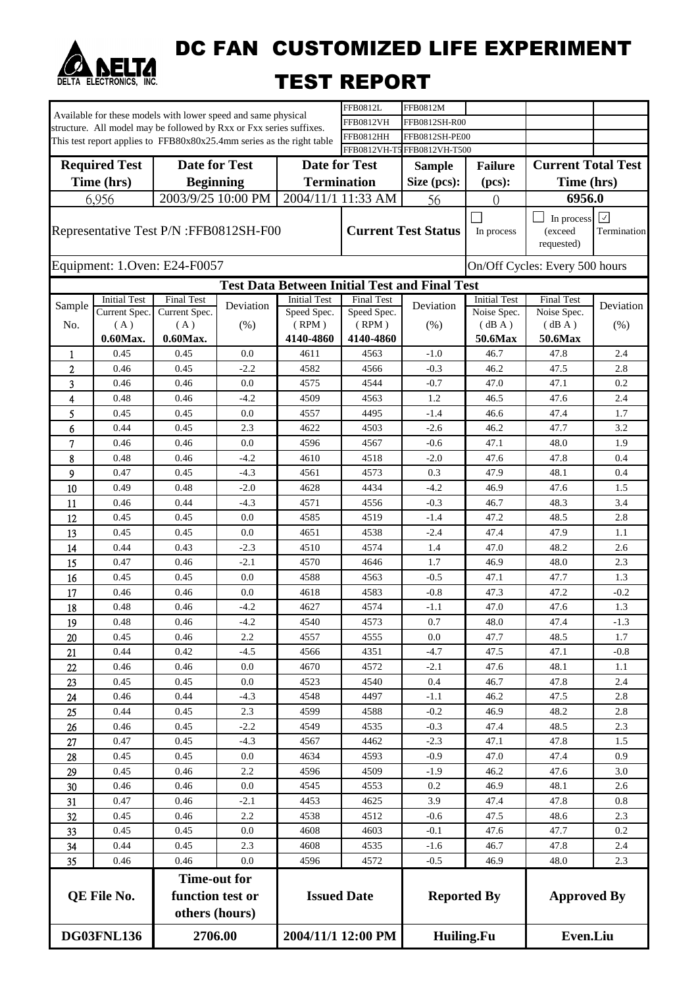

DC FAN CUSTOMIZED LIFE EXPERIMENT

## TEST REPORT

| Available for these models with lower speed and same physical |                                                                              |                                                                     |           | FFB0812L                                             | FFB0812M                   |                    |                     |                                     |                  |
|---------------------------------------------------------------|------------------------------------------------------------------------------|---------------------------------------------------------------------|-----------|------------------------------------------------------|----------------------------|--------------------|---------------------|-------------------------------------|------------------|
|                                                               |                                                                              | structure. All model may be followed by Rxx or Fxx series suffixes. |           |                                                      | <b>FFB0812VH</b>           | FFB0812SH-R00      |                     |                                     |                  |
|                                                               | This test report applies to FFB80x80x25.4mm series as the right table        |                                                                     |           | FFB0812SH-PE00<br><b>FFB0812HH</b>                   |                            |                    |                     |                                     |                  |
|                                                               | FFB0812VH-T5 FFB0812VH-T500                                                  |                                                                     |           |                                                      |                            |                    |                     |                                     |                  |
|                                                               | <b>Required Test</b>                                                         | <b>Date for Test</b>                                                |           | <b>Date for Test</b>                                 |                            | <b>Sample</b>      | <b>Failure</b>      | <b>Current Total Test</b>           |                  |
|                                                               | Time (hrs)                                                                   | <b>Beginning</b>                                                    |           | <b>Termination</b>                                   |                            | Size (pcs):        | (pcs):              | Time (hrs)                          |                  |
|                                                               | 6,956                                                                        | 2003/9/25 10:00 PM                                                  |           |                                                      | 2004/11/1 11:33 AM         | 56                 | $\overline{0}$      | 6956.0                              |                  |
|                                                               |                                                                              | Representative Test P/N :FFB0812SH-F00                              |           |                                                      | <b>Current Test Status</b> |                    | In process          | In process<br>(exceed<br>requested) | ☑<br>Termination |
|                                                               |                                                                              | Equipment: 1.Oven: E24-F0057                                        |           |                                                      |                            |                    |                     | On/Off Cycles: Every 500 hours      |                  |
|                                                               |                                                                              |                                                                     |           | <b>Test Data Between Initial Test and Final Test</b> |                            |                    |                     |                                     |                  |
| Sample                                                        | <b>Initial Test</b>                                                          | <b>Final Test</b>                                                   | Deviation | <b>Initial Test</b>                                  | <b>Final Test</b>          | Deviation          | <b>Initial Test</b> | <b>Final Test</b>                   | Deviation        |
|                                                               | Current Spec.                                                                | Current Spec.                                                       |           | Speed Spec.                                          | Speed Spec.                |                    | Noise Spec.         | Noise Spec.                         |                  |
| No.                                                           | (A)                                                                          | (A)                                                                 | (% )      | (RPM)                                                | (RPM)                      | (% )               | (dBA)               | (dB A)                              | (% )             |
|                                                               | $0.60$ Max.                                                                  | $0.60$ Max.                                                         |           | 4140-4860                                            | 4140-4860                  |                    | 50.6Max             | 50.6Max                             |                  |
| $\mathbf{1}$                                                  | 0.45                                                                         | 0.45                                                                | 0.0       | 4611                                                 | 4563                       | $-1.0$             | 46.7                | 47.8                                | 2.4              |
| 2                                                             | 0.46                                                                         | 0.45                                                                | $-2.2$    | 4582                                                 | 4566                       | $-0.3$             | 46.2                | 47.5                                | 2.8              |
| 3                                                             | 0.46                                                                         | 0.46                                                                | 0.0       | 4575                                                 | 4544                       | $-0.7$             | 47.0                | 47.1                                | 0.2              |
| 4                                                             | 0.48                                                                         | 0.46                                                                | $-4.2$    | 4509                                                 | 4563                       | 1.2                | 46.5                | 47.6                                | 2.4              |
| 5                                                             | 0.45                                                                         | 0.45                                                                | 0.0       | 4557                                                 | 4495                       | $-1.4$             | 46.6                | 47.4                                | 1.7              |
| 6                                                             | 0.44                                                                         | 0.45                                                                | 2.3       | 4622                                                 | 4503                       | $-2.6$             | 46.2                | 47.7                                | 3.2              |
| 7                                                             | 0.46                                                                         | 0.46                                                                | 0.0       | 4596                                                 | 4567                       | $-0.6$             | 47.1                | 48.0                                | 1.9              |
| 8                                                             | 0.48                                                                         | 0.46                                                                | -4.2      | 4610                                                 | 4518                       | $-2.0$             | 47.6                | 47.8                                | 0.4              |
| 9                                                             | 0.47                                                                         | 0.45                                                                | $-4.3$    | 4561                                                 | 4573                       | 0.3                | 47.9                | 48.1                                | 0.4              |
| 10                                                            | 0.49                                                                         | 0.48                                                                | $-2.0$    | 4628                                                 | 4434                       | $-4.2$             | 46.9                | 47.6                                | 1.5              |
| 11                                                            | 0.46                                                                         | 0.44                                                                | $-4.3$    | 4571                                                 | 4556                       | $-0.3$             | 46.7                | 48.3                                | 3.4              |
| 12                                                            | 0.45                                                                         | 0.45                                                                | 0.0       | 4585                                                 | 4519                       | $-1.4$             | 47.2                | 48.5                                | 2.8              |
| 13                                                            | 0.45                                                                         | 0.45                                                                | 0.0       | 4651                                                 | 4538                       | -2.4               | 47.4                | 47.9                                | 1.1              |
| 14                                                            | 0.44                                                                         | 0.43                                                                | $-2.3$    | 4510                                                 | 4574                       | 1.4                | 47.0                | 48.2                                | 2.6              |
| 15                                                            | 0.47                                                                         | 0.46                                                                | $-2.1$    | 4570                                                 | 4646                       | 1.7                | 46.9                | 48.0                                | 2.3              |
| 16                                                            | 0.45                                                                         | 0.45                                                                | 0.0       | 4588                                                 | 4563                       | $-0.5$             | 47.1                | 47.7                                | 1.3              |
| 17                                                            | 0.46                                                                         | 0.46                                                                | 0.0       | 4618                                                 | 4583                       | $-0.8$             | 47.3                | 47.2                                | $-0.2$           |
| 18                                                            | 0.48                                                                         | 0.46                                                                | $-4.2$    | 4627                                                 | 4574                       | -1.1               | 47.0                | 47.6                                | 1.3              |
| 19                                                            | 0.48                                                                         | 0.46                                                                | $-4.2$    | 4540                                                 | 4573                       | 0.7                | 48.0                | 47.4                                | $-1.3$           |
| 20                                                            | 0.45                                                                         | 0.46                                                                | 2.2       | 4557                                                 | 4555                       | 0.0                | 47.7                | 48.5                                | 1.7              |
| 21                                                            | 0.44                                                                         | 0.42                                                                | $-4.5$    | 4566                                                 | 4351                       | -4.7               | 47.5                | 47.1                                | $-0.8$           |
| 22                                                            | 0.46                                                                         | 0.46                                                                | 0.0       | 4670                                                 | 4572                       | -2.1               | 47.6                | 48.1                                | 1.1              |
| 23                                                            | 0.45                                                                         | 0.45                                                                | 0.0       | 4523                                                 | 4540                       | 0.4                | 46.7                | 47.8                                | 2.4              |
| 24                                                            | 0.46                                                                         | 0.44                                                                | $-4.3$    | 4548                                                 | 4497                       | $-1.1$             | 46.2                | 47.5                                | 2.8              |
| 25                                                            | 0.44                                                                         | 0.45                                                                | 2.3       | 4599                                                 | 4588                       | $-0.2$             | 46.9                | 48.2                                | 2.8              |
| 26                                                            | 0.46                                                                         | 0.45                                                                | $-2.2$    | 4549                                                 | 4535                       | $-0.3$             | 47.4                | 48.5                                | 2.3              |
| 27                                                            | 0.47                                                                         | 0.45                                                                | $-4.3$    | 4567                                                 | 4462                       | $-2.3$             | 47.1                | 47.8                                | 1.5              |
| 28                                                            | 0.45                                                                         | 0.45                                                                | 0.0       | 4634                                                 | 4593                       | -0.9               | 47.0                | 47.4                                | 0.9              |
| 29                                                            | 0.45                                                                         | 0.46                                                                | 2.2       | 4596                                                 | 4509                       | $-1.9$             | 46.2                | 47.6                                | 3.0              |
| 30                                                            | 0.46                                                                         | 0.46                                                                | 0.0       | 4545                                                 | 4553                       | 0.2                | 46.9                | 48.1                                | 2.6              |
| 31                                                            | 0.47                                                                         | 0.46                                                                | $-2.1$    | 4453                                                 | 4625                       | 3.9                | 47.4                | 47.8                                | 0.8              |
| 32                                                            | 0.45                                                                         | 0.46                                                                | 2.2       | 4538                                                 | 4512                       | $-0.6$             | 47.5                | 48.6                                | 2.3              |
| 33                                                            | 0.45                                                                         | 0.45                                                                | 0.0       | 4608                                                 | 4603                       | -0.1               | 47.6                | 47.7                                | 0.2              |
| 34                                                            | 0.44                                                                         | 0.45                                                                | 2.3       | 4608                                                 | 4535                       | $-1.6$             | 46.7                | 47.8                                | 2.4              |
| 35                                                            | 0.46                                                                         | 0.46                                                                | 0.0       | 4596                                                 | 4572                       | $-0.5$             | 46.9                | 48.0                                | 2.3              |
|                                                               |                                                                              | <b>Time-out for</b>                                                 |           |                                                      |                            |                    |                     |                                     |                  |
| QE File No.                                                   |                                                                              | function test or<br>others (hours)                                  |           | <b>Issued Date</b>                                   |                            | <b>Reported By</b> |                     | <b>Approved By</b>                  |                  |
|                                                               | DG03FNL136<br>2706.00<br>2004/11/1 12:00 PM<br>Huiling.Fu<br><b>Even.Liu</b> |                                                                     |           |                                                      |                            |                    |                     |                                     |                  |